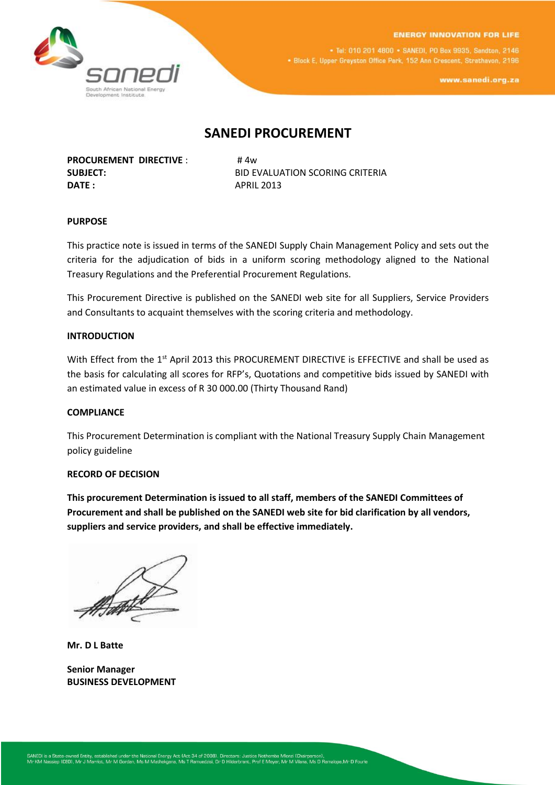



. Tel: 010 201 4800 . SANEDI, PO Box 9935, Sandton, 2146 . Block E, Upper Grayston Office Park, 152 Ann Crescent, Strathavon, 2196

www.sanedi.org.za

# **SANEDI PROCUREMENT**

**PROCUREMENT DIRECTIVE** : #4w **DATE :** APRIL 2013

**SUBJECT:** BID EVALUATION SCORING CRITERIA

## **PURPOSE**

This practice note is issued in terms of the SANEDI Supply Chain Management Policy and sets out the criteria for the adjudication of bids in a uniform scoring methodology aligned to the National Treasury Regulations and the Preferential Procurement Regulations.

This Procurement Directive is published on the SANEDI web site for all Suppliers, Service Providers and Consultants to acquaint themselves with the scoring criteria and methodology.

#### **INTRODUCTION**

With Effect from the 1<sup>st</sup> April 2013 this PROCUREMENT DIRECTIVE is EFFECTIVE and shall be used as the basis for calculating all scores for RFP's, Quotations and competitive bids issued by SANEDI with an estimated value in excess of R 30 000.00 (Thirty Thousand Rand)

### **COMPLIANCE**

This Procurement Determination is compliant with the National Treasury Supply Chain Management policy guideline

#### **RECORD OF DECISION**

**This procurement Determination is issued to all staff, members of the SANEDI Committees of Procurement and shall be published on the SANEDI web site for bid clarification by all vendors, suppliers and service providers, and shall be effective immediately.**

**Mr. D L Batte**

**Senior Manager BUSINESS DEVELOPMENT**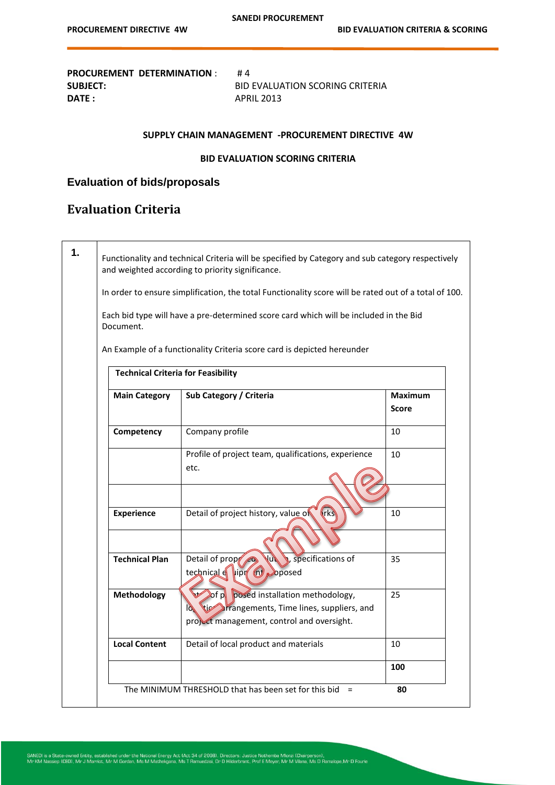**PROCUREMENT DETERMINATION** : #4 **SUBJECT:** BID EVALUATION SCORING CRITERIA

**DATE :** APRIL 2013

## **SUPPLY CHAIN MANAGEMENT -PROCUREMENT DIRECTIVE 4W**

## **BID EVALUATION SCORING CRITERIA**

# **Evaluation of bids/proposals**

# **Evaluation Criteria**

 $\mathsf{r}$ 

|                                           | In order to ensure simplification, the total Functionality score will be rated out of a total of 100.                                              |                                |
|-------------------------------------------|----------------------------------------------------------------------------------------------------------------------------------------------------|--------------------------------|
| Document.                                 | Each bid type will have a pre-determined score card which will be included in the Bid                                                              |                                |
|                                           | An Example of a functionality Criteria score card is depicted hereunder                                                                            |                                |
| <b>Technical Criteria for Feasibility</b> |                                                                                                                                                    |                                |
| <b>Main Category</b>                      | Sub Category / Criteria                                                                                                                            | <b>Maximum</b><br><b>Score</b> |
| Competency                                | Company profile                                                                                                                                    | 10                             |
|                                           | Profile of project team, qualifications, experience<br>etc.                                                                                        | 10                             |
|                                           |                                                                                                                                                    |                                |
| <b>Experience</b>                         | Detail of project history, value of<br>(rk)                                                                                                        | 10                             |
| <b>Technical Plan</b>                     | Detail of prop<br>specifications of<br>Aut<br>technical of vipr (n) oposed                                                                         | 35                             |
| Methodology                               | of p posed installation methodology,<br>tic arrangements, Time lines, suppliers, and<br>$\mathbb{Z}$<br>project management, control and oversight. | 25                             |
| <b>Local Content</b>                      | Detail of local product and materials                                                                                                              | 10                             |
|                                           |                                                                                                                                                    | 100                            |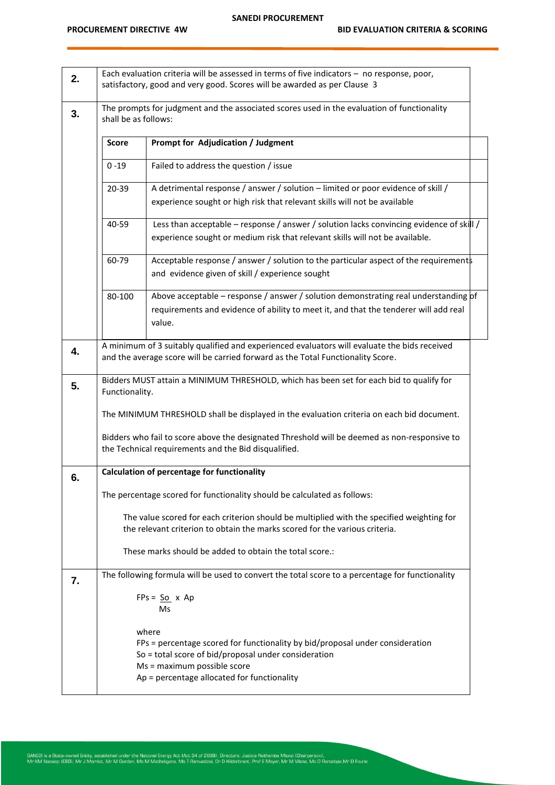| 2. |                                                                                                                    | Each evaluation criteria will be assessed in terms of five indicators - no response, poor,<br>satisfactory, good and very good. Scores will be awarded as per Clause 3                                                       |  |
|----|--------------------------------------------------------------------------------------------------------------------|------------------------------------------------------------------------------------------------------------------------------------------------------------------------------------------------------------------------------|--|
| 3. | The prompts for judgment and the associated scores used in the evaluation of functionality<br>shall be as follows: |                                                                                                                                                                                                                              |  |
|    | <b>Score</b>                                                                                                       | <b>Prompt for Adjudication / Judgment</b>                                                                                                                                                                                    |  |
|    | $0 - 19$                                                                                                           | Failed to address the question / issue                                                                                                                                                                                       |  |
|    | 20-39                                                                                                              | A detrimental response / answer / solution - limited or poor evidence of skill /<br>experience sought or high risk that relevant skills will not be available                                                                |  |
|    | 40-59                                                                                                              | Less than acceptable - response / answer / solution lacks convincing evidence of skill /<br>experience sought or medium risk that relevant skills will not be available.                                                     |  |
|    | 60-79                                                                                                              | Acceptable response / answer / solution to the particular aspect of the requirements<br>and evidence given of skill / experience sought                                                                                      |  |
|    | 80-100                                                                                                             | Above acceptable – response / answer / solution demonstrating real understanding pf<br>requirements and evidence of ability to meet it, and that the tenderer will add real<br>value.                                        |  |
| 4. |                                                                                                                    | A minimum of 3 suitably qualified and experienced evaluators will evaluate the bids received<br>and the average score will be carried forward as the Total Functionality Score.                                              |  |
| 5. | Functionality.                                                                                                     | Bidders MUST attain a MINIMUM THRESHOLD, which has been set for each bid to qualify for                                                                                                                                      |  |
|    |                                                                                                                    | The MINIMUM THRESHOLD shall be displayed in the evaluation criteria on each bid document.                                                                                                                                    |  |
|    |                                                                                                                    | Bidders who fail to score above the designated Threshold will be deemed as non-responsive to<br>the Technical requirements and the Bid disqualified.                                                                         |  |
| 6. |                                                                                                                    | <b>Calculation of percentage for functionality</b>                                                                                                                                                                           |  |
|    |                                                                                                                    | The percentage scored for functionality should be calculated as follows:                                                                                                                                                     |  |
|    |                                                                                                                    | The value scored for each criterion should be multiplied with the specified weighting for<br>the relevant criterion to obtain the marks scored for the various criteria.                                                     |  |
|    |                                                                                                                    | These marks should be added to obtain the total score.:                                                                                                                                                                      |  |
| 7. |                                                                                                                    | The following formula will be used to convert the total score to a percentage for functionality                                                                                                                              |  |
|    |                                                                                                                    | $FPs = So x Ap$<br>Ms                                                                                                                                                                                                        |  |
|    |                                                                                                                    | where<br>FPs = percentage scored for functionality by bid/proposal under consideration<br>So = total score of bid/proposal under consideration<br>Ms = maximum possible score<br>Ap = percentage allocated for functionality |  |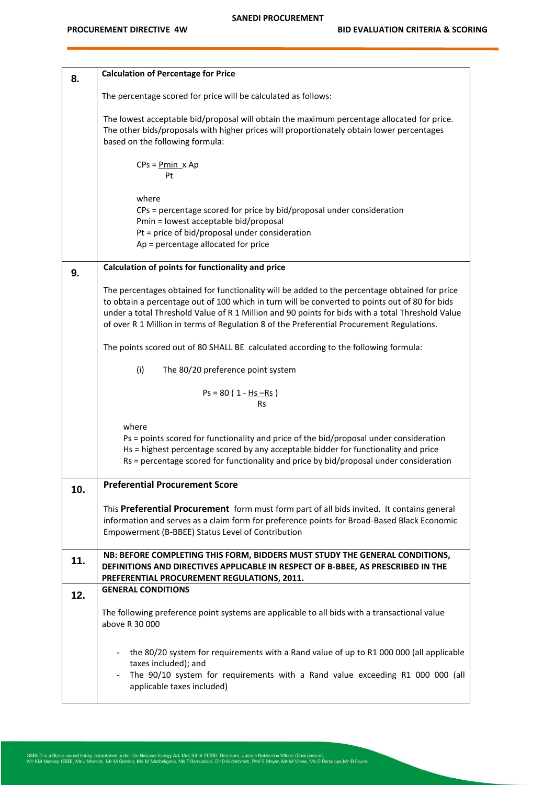| 8.  | <b>Calculation of Percentage for Price</b>                                                                                                                                                                                                                                                                                                                                                       |
|-----|--------------------------------------------------------------------------------------------------------------------------------------------------------------------------------------------------------------------------------------------------------------------------------------------------------------------------------------------------------------------------------------------------|
|     | The percentage scored for price will be calculated as follows:                                                                                                                                                                                                                                                                                                                                   |
|     | The lowest acceptable bid/proposal will obtain the maximum percentage allocated for price.<br>The other bids/proposals with higher prices will proportionately obtain lower percentages<br>based on the following formula:                                                                                                                                                                       |
|     | $CPs = Pmin \times Ap$<br>Pt                                                                                                                                                                                                                                                                                                                                                                     |
|     | where                                                                                                                                                                                                                                                                                                                                                                                            |
|     | CPs = percentage scored for price by bid/proposal under consideration<br>Pmin = lowest acceptable bid/proposal                                                                                                                                                                                                                                                                                   |
|     | Pt = price of bid/proposal under consideration<br>Ap = percentage allocated for price                                                                                                                                                                                                                                                                                                            |
|     | Calculation of points for functionality and price                                                                                                                                                                                                                                                                                                                                                |
| 9.  |                                                                                                                                                                                                                                                                                                                                                                                                  |
|     | The percentages obtained for functionality will be added to the percentage obtained for price<br>to obtain a percentage out of 100 which in turn will be converted to points out of 80 for bids<br>under a total Threshold Value of R 1 Million and 90 points for bids with a total Threshold Value<br>of over R 1 Million in terms of Regulation 8 of the Preferential Procurement Regulations. |
|     | The points scored out of 80 SHALL BE calculated according to the following formula:                                                                                                                                                                                                                                                                                                              |
|     | (i)<br>The 80/20 preference point system                                                                                                                                                                                                                                                                                                                                                         |
|     | $Ps = 80 (1 - Hs - Rs)$<br>Rs                                                                                                                                                                                                                                                                                                                                                                    |
|     | where<br>Ps = points scored for functionality and price of the bid/proposal under consideration<br>Hs = highest percentage scored by any acceptable bidder for functionality and price<br>Rs = percentage scored for functionality and price by bid/proposal under consideration                                                                                                                 |
| 10. | <b>Preferential Procurement Score</b>                                                                                                                                                                                                                                                                                                                                                            |
|     | This Preferential Procurement form must form part of all bids invited. It contains general<br>information and serves as a claim form for preference points for Broad-Based Black Economic<br>Empowerment (B-BBEE) Status Level of Contribution                                                                                                                                                   |
| 11. | NB: BEFORE COMPLETING THIS FORM, BIDDERS MUST STUDY THE GENERAL CONDITIONS,<br>DEFINITIONS AND DIRECTIVES APPLICABLE IN RESPECT OF B-BBEE, AS PRESCRIBED IN THE<br>PREFERENTIAL PROCUREMENT REGULATIONS, 2011.                                                                                                                                                                                   |
| 12. | <b>GENERAL CONDITIONS</b>                                                                                                                                                                                                                                                                                                                                                                        |
|     | The following preference point systems are applicable to all bids with a transactional value<br>above R 30 000                                                                                                                                                                                                                                                                                   |
|     | the 80/20 system for requirements with a Rand value of up to R1 000 000 (all applicable<br>taxes included); and<br>The 90/10 system for requirements with a Rand value exceeding R1 000 000 (all                                                                                                                                                                                                 |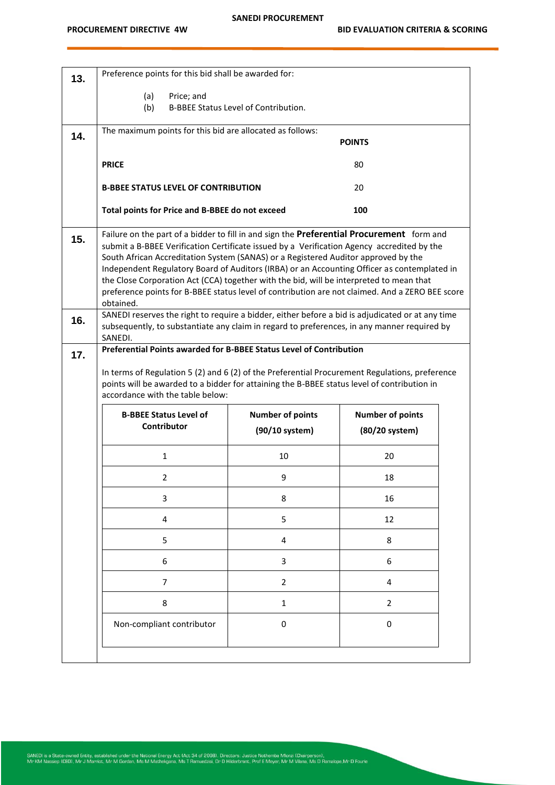| 13. | Preference points for this bid shall be awarded for:                                                                                                                                    |                                      |                         |  |
|-----|-----------------------------------------------------------------------------------------------------------------------------------------------------------------------------------------|--------------------------------------|-------------------------|--|
|     | (a)<br>Price; and                                                                                                                                                                       |                                      |                         |  |
|     | (b)                                                                                                                                                                                     | B-BBEE Status Level of Contribution. |                         |  |
| 14. | The maximum points for this bid are allocated as follows:                                                                                                                               |                                      | <b>POINTS</b>           |  |
|     |                                                                                                                                                                                         |                                      |                         |  |
|     | <b>PRICE</b>                                                                                                                                                                            |                                      | 80                      |  |
|     | <b>B-BBEE STATUS LEVEL OF CONTRIBUTION</b>                                                                                                                                              |                                      | 20                      |  |
|     | Total points for Price and B-BBEE do not exceed                                                                                                                                         |                                      | 100                     |  |
| 15. | Failure on the part of a bidder to fill in and sign the Preferential Procurement form and<br>submit a B-BBEE Verification Certificate issued by a Verification Agency accredited by the |                                      |                         |  |
|     | South African Accreditation System (SANAS) or a Registered Auditor approved by the                                                                                                      |                                      |                         |  |
|     | Independent Regulatory Board of Auditors (IRBA) or an Accounting Officer as contemplated in<br>the Close Corporation Act (CCA) together with the bid, will be interpreted to mean that  |                                      |                         |  |
|     | preference points for B-BBEE status level of contribution are not claimed. And a ZERO BEE score<br>obtained.                                                                            |                                      |                         |  |
| 16. | SANEDI reserves the right to require a bidder, either before a bid is adjudicated or at any time                                                                                        |                                      |                         |  |
|     | subsequently, to substantiate any claim in regard to preferences, in any manner required by<br>SANEDI.                                                                                  |                                      |                         |  |
| 17. | Preferential Points awarded for B-BBEE Status Level of Contribution                                                                                                                     |                                      |                         |  |
|     | In terms of Regulation 5 (2) and 6 (2) of the Preferential Procurement Regulations, preference                                                                                          |                                      |                         |  |
|     | points will be awarded to a bidder for attaining the B-BBEE status level of contribution in<br>accordance with the table below:                                                         |                                      |                         |  |
|     | <b>B-BBEE Status Level of</b>                                                                                                                                                           | <b>Number of points</b>              | <b>Number of points</b> |  |
|     | Contributor                                                                                                                                                                             | (90/10 system)                       | (80/20 system)          |  |
|     | $\mathbf{1}$                                                                                                                                                                            | 10                                   | 20                      |  |
|     | 2                                                                                                                                                                                       | 9                                    | 18                      |  |
|     | 3                                                                                                                                                                                       | 8                                    | 16                      |  |
|     | 4                                                                                                                                                                                       | 5                                    | 12                      |  |
|     | 5                                                                                                                                                                                       | 4                                    | 8                       |  |
|     | 6                                                                                                                                                                                       | 3                                    | 6                       |  |
|     | 7                                                                                                                                                                                       | $\overline{2}$                       | 4                       |  |
|     | 8                                                                                                                                                                                       | $\mathbf{1}$                         | $\overline{2}$          |  |
|     | Non-compliant contributor                                                                                                                                                               | 0                                    | 0                       |  |
|     |                                                                                                                                                                                         |                                      |                         |  |
|     |                                                                                                                                                                                         |                                      |                         |  |